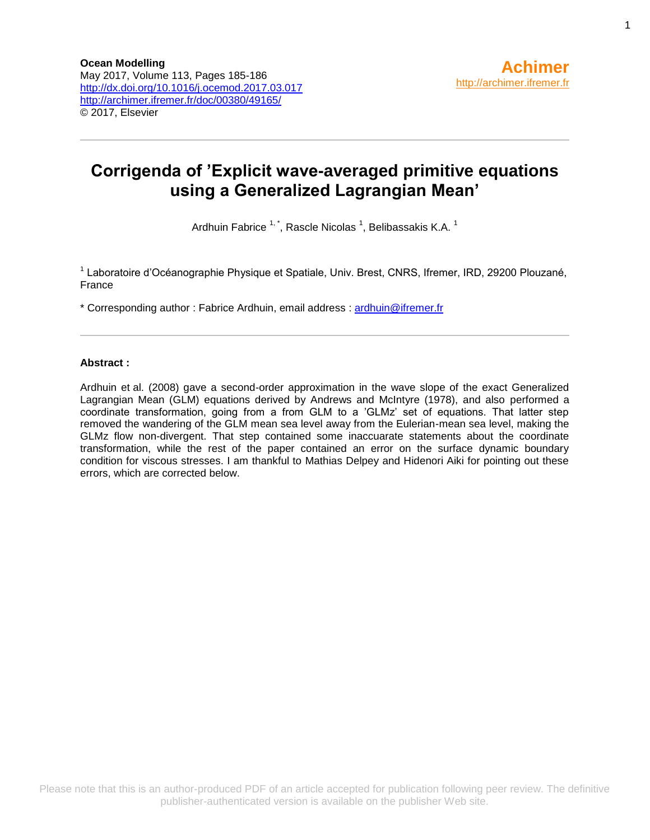# **Corrigenda of 'Explicit wave-averaged primitive equations using a Generalized Lagrangian Mean'**

Ardhuin Fabrice  $^{1, \, *}$ , Rascle Nicolas  $^1$ , Belibassakis K.A.  $^1$ 

<sup>1</sup> Laboratoire d'Océanographie Physique et Spatiale, Univ. Brest, CNRS, Ifremer, IRD, 29200 Plouzané, France

\* Corresponding author : Fabrice Ardhuin, email address : [ardhuin@ifremer.fr](mailto:ardhuin@ifremer.fr)

### **Abstract :**

Ardhuin et al. (2008) gave a second-order approximation in the wave slope of the exact Generalized Lagrangian Mean (GLM) equations derived by Andrews and McIntyre (1978), and also performed a coordinate transformation, going from a from GLM to a 'GLMz' set of equations. That latter step removed the wandering of the GLM mean sea level away from the Eulerian-mean sea level, making the GLMz flow non-divergent. That step contained some inaccuarate statements about the coordinate transformation, while the rest of the paper contained an error on the surface dynamic boundary condition for viscous stresses. I am thankful to Mathias Delpey and Hidenori Aiki for pointing out these errors, which are corrected below.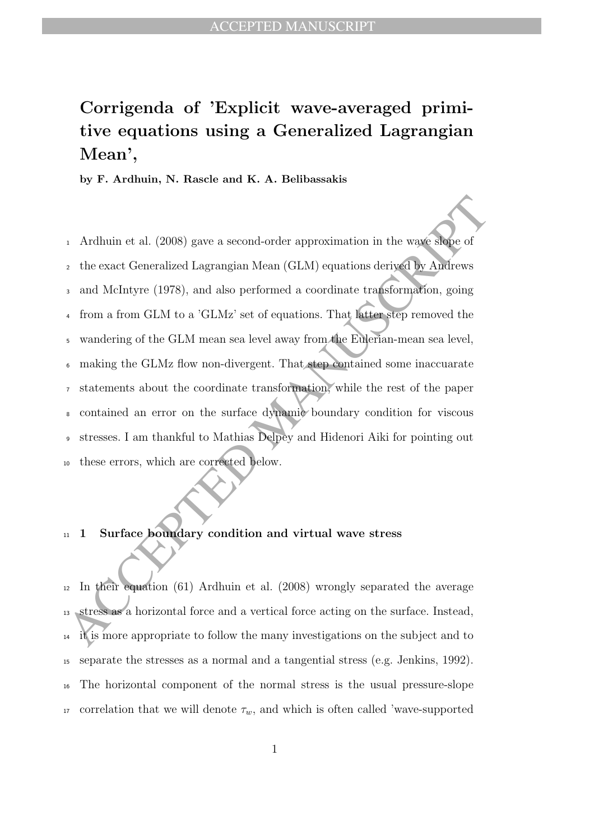<sup>11</sup> 1 Surface boundary condition and virtual wave stress

- <sup>11</sup> 1 Surface boundary condition and virtual wave stress<br><sup>12</sup> In their equation (61) Ardhuin et al. (2008) wrongly separated the average<br><sup>13</sup> stress as a horizontal force and a vertical force acting on the surface. Inste In their equation (61) Ardhuin et al. (2008) wrongly separated the average stress as a horizontal force and a vertical force acting on the surface. Instead, it is more appropriate to follow the many investigations on the subject and to separate the stresses as a normal and a tangential stress (e.g. Jenkins, 1992). The horizontal component of the normal stress is the usual pressure-slope 17 correlation that we will denote  $\tau_w$ , and which is often called 'wave-supported
	-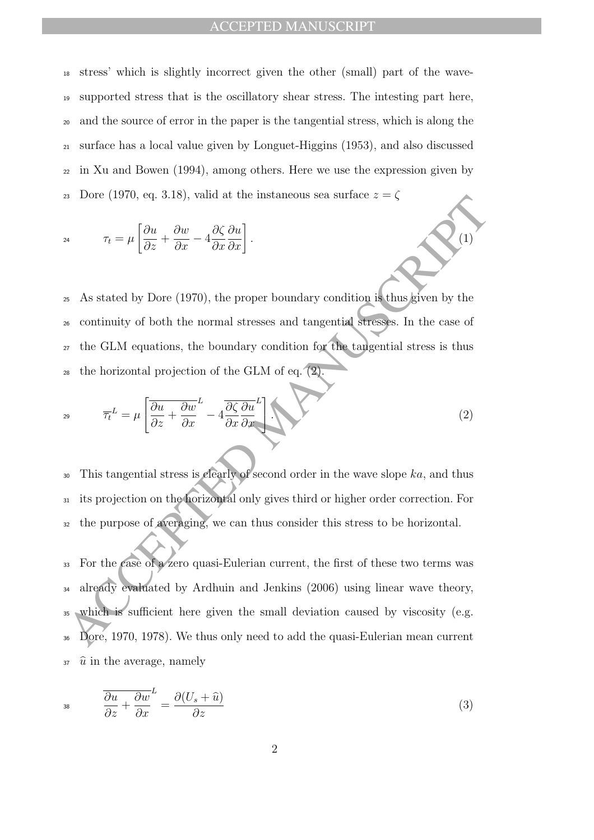## ACCEPTED MANUSCRIPT

 stress' which is slightly incorrect given the other (small) part of the wave- supported stress that is the oscillatory shear stress. The intesting part here, and the source of error in the paper is the tangential stress, which is along the surface has a local value given by Longuet-Higgins (1953), and also discussed in Xu and Bowen (1994), among others. Here we use the expression given by 23 Dore (1970, eq. 3.18), valid at the instaneous sea surface  $z = \zeta$ 

$$
\tau_t = \mu \left[ \frac{\partial u}{\partial z} + \frac{\partial w}{\partial x} - 4 \frac{\partial \zeta}{\partial x} \frac{\partial u}{\partial x} \right].
$$
\n(1)

 As stated by Dore (1970), the proper boundary condition is thus given by the continuity of both the normal stresses and tangential stresses. In the case of the GLM equations, the boundary condition for the tangential stress is thus  $_{28}$  the horizontal projection of the GLM of eq.  $(2)$ .

$$
\overline{\tau_t}^L = \mu \left[ \frac{\partial u}{\partial z} + \frac{\partial w}{\partial x}^L - 4 \frac{\partial \zeta}{\partial x} \frac{\partial u}{\partial x}^L \right] \tag{2}
$$

 $30$  This tangential stress is clearly of second order in the wave slope ka, and thus <sup>31</sup> its projection on the horizontal only gives third or higher order correction. For <sup>32</sup> the purpose of averaging, we can thus consider this stress to be horizontal.

As Lote (1970, ed. 3.15), vand at the instancous sea surface  $z = \sqrt{\frac{2\mu}{\sigma^2 + \frac{\partial w}{\partial x} - 4\frac{\partial \zeta}{\partial x} \frac{\partial u}{\partial x}}$ .<br>
<br>
As As stated by Dore (1970), the proper boundary condition is thus given by the<br>
se continuity of both For the case of a zero quasi-Eulerian current, the first of these two terms was already evaluated by Ardhuin and Jenkins (2006) using linear wave theory, which is sufficient here given the small deviation caused by viscosity (e.g. Dore, 1970, 1978). We thus only need to add the quasi-Eulerian mean current  $\hat{u}$  in the average, namely

$$
38 \qquad \frac{\overline{\partial u}}{\partial z} + \frac{\overline{\partial w}}{\partial x} = \frac{\partial (U_s + \widehat{u})}{\partial z} \tag{3}
$$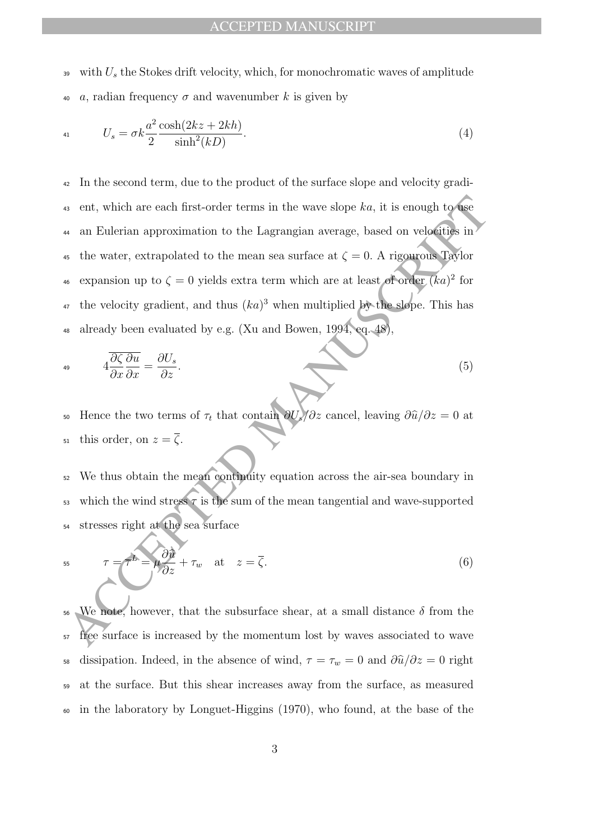39 with  $U_s$  the Stokes drift velocity, which, for monochromatic waves of amplitude 40 a, radian frequency  $\sigma$  and wavenumber k is given by

$$
U_s = \sigma k \frac{a^2 \cosh(2kz + 2kh)}{\sinh^2(kD)}.
$$
\n
$$
(4)
$$

a ent, which are each first-order terms in the wave slope  $ka$ , it is enough to use<br>
a an Eulerian approximation to the Lagrangian average, based on velocities in<br>
a the water, extrapolated to the mean sea surface at  $\zeta =$ <sup>42</sup> In the second term, due to the product of the surface slope and velocity gradi-43 ent, which are each first-order terms in the wave slope  $ka$ , it is enough to use <sup>44</sup> an Eulerian approximation to the Lagrangian average, based on velocities in 45 the water, extrapolated to the mean sea surface at  $\zeta = 0$ . A rigourous Taylor <sup>46</sup> expansion up to  $\zeta = 0$  yields extra term which are at least of order  $(ka)^2$  for <sup>47</sup> the velocity gradient, and thus  $(ka)^3$  when multiplied by the slope. This has <sup>48</sup> already been evaluated by e.g. (Xu and Bowen, 1994, eq. 48),

$$
4\frac{\partial \zeta}{\partial x}\frac{\partial u}{\partial x} = \frac{\partial U_s}{\partial z}.
$$
\n(5)

50 Hence the two terms of  $\tau_t$  that contain  $\partial U_s/\partial z$  cancel, leaving  $\partial \hat{u}/\partial z = 0$  at 51 this order, on  $z = \overline{\zeta}$ .

<sup>52</sup> We thus obtain the mean continuity equation across the air-sea boundary in 53 which the wind stress  $\tau$  is the sum of the mean tangential and wave-supported <sup>54</sup> stresses right at the sea surface

$$
\overline{55}
$$

$$
\tau = \tau^L = \mu \frac{\partial \hat{u}}{\partial z} + \tau_w \quad \text{at} \quad z = \overline{\zeta}.
$$
 (6)

<sup>56</sup> We note, however, that the subsurface shear, at a small distance  $\delta$  from the <sup>57</sup> free surface is increased by the momentum lost by waves associated to wave 58 dissipation. Indeed, in the absence of wind,  $\tau = \tau_w = 0$  and  $\frac{\partial \hat{u}}{\partial z} = 0$  right <sup>59</sup> at the surface. But this shear increases away from the surface, as measured <sup>60</sup> in the laboratory by Longuet-Higgins (1970), who found, at the base of the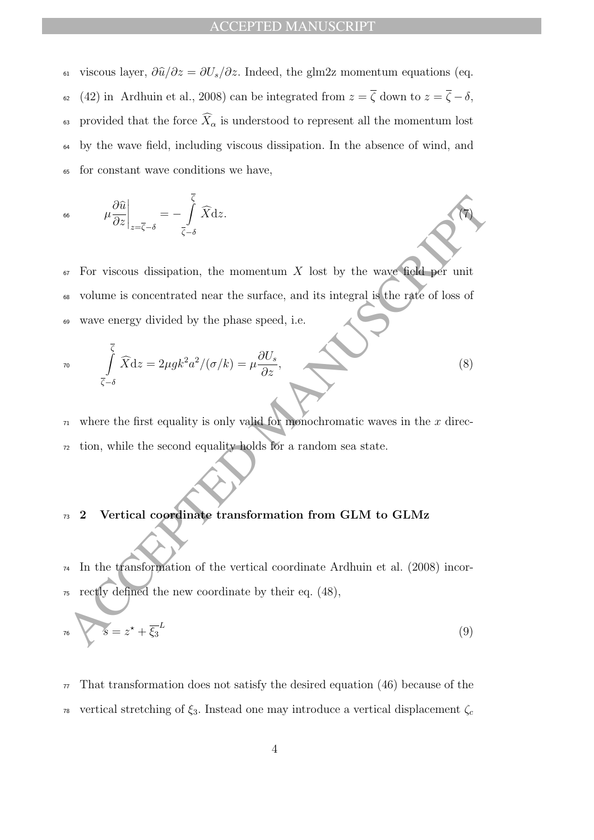61 viscous layer,  $\partial \hat{u}/\partial z = \partial U_s/\partial z$ . Indeed, the glm2z momentum equations (eq. 62 (42) in Ardhuin et al., 2008) can be integrated from  $z = \overline{\zeta}$  down to  $z = \overline{\zeta} - \delta$ , <sup>63</sup> provided that the force  $\widehat{X}_{\alpha}$  is understood to represent all the momentum lost <sup>64</sup> by the wave field, including viscous dissipation. In the absence of wind, and <sup>65</sup> for constant wave conditions we have,

$$
\mu \frac{\partial \widehat{u}}{\partial z}\bigg|_{z=\overline{\zeta}-\delta} = -\int\limits_{\overline{\zeta}-\delta}^{\zeta} \widehat{X} \mathrm{d}z.
$$

ACCEPTED  $\mu \frac{\partial \hat{a}}{\partial z}\Big|_{z=\bar{z}-\delta} = -\sum_{\zeta=\delta} \bar{X} dz.$ <br>
We For viscous dissipation, the momentum X lost by the wave field por unit<br>
We volume is concentrated near the surface, and its integral is the rate of loss of<br>
we For viscous dissipation, the momentum X lost by the wave field per unit volume is concentrated near the surface, and its integral is the rate of loss of wave energy divided by the phase speed, i.e.

$$
\int_{\overline{\zeta}-\delta}^{\overline{\zeta}} \widehat{X} dz = 2\mu g k^2 a^2 / (\sigma/k) = \mu \frac{\partial U_s}{\partial z},
$$
\n(8)

 $71$  where the first equality is only valid for monochromatic waves in the x direc-<sup>72</sup> tion, while the second equality holds for a random sea state.

## <sup>73</sup> 2 Vertical coordinate transformation from GLM to GLMz

<sup>74</sup> In the transformation of the vertical coordinate Ardhuin et al. (2008) incor-<sup>75</sup> rectly defined the new coordinate by their eq. (48),

$$
s = z^* + \overline{\xi_3}^L \tag{9}
$$

 $77$  That transformation does not satisfy the desired equation (46) because of the <sup>78</sup> vertical stretching of  $\xi_3$ . Instead one may introduce a vertical displacement  $\zeta_c$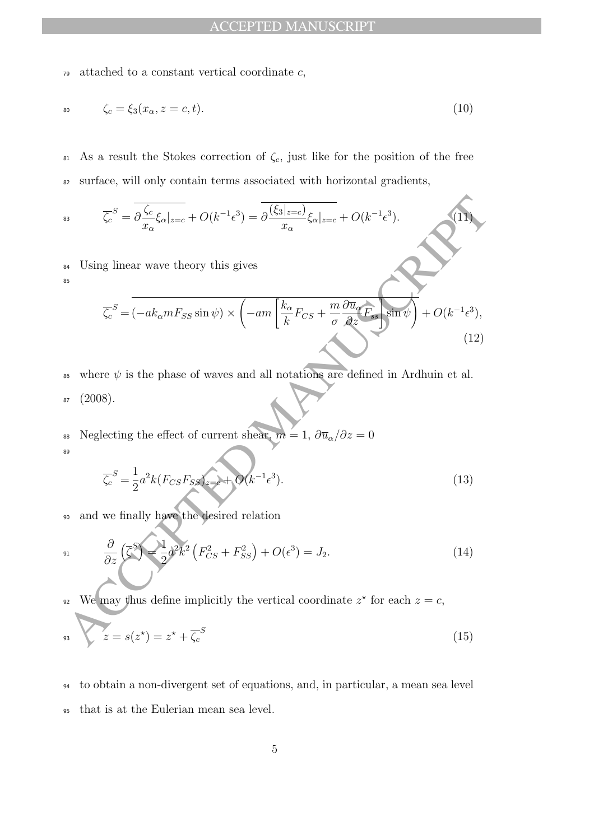$\tau$ <sup>9</sup> attached to a constant vertical coordinate  $c$ ,

$$
\zeta_c = \xi_3(x_\alpha, z = c, t). \tag{10}
$$

81 As a result the Stokes correction of  $\zeta_c$ , just like for the position of the free <sup>82</sup> surface, will only contain terms associated with horizontal gradients,

$$
\overline{\zeta_c}^S = \overline{\partial \frac{\zeta_c}{x_\alpha} \xi_\alpha|_{z=c}} + O(k^{-1} \epsilon^3) = \overline{\partial \frac{(\xi_3|_{z=c})}{x_\alpha} \xi_\alpha|_{z=c}} + O(k^{-1} \epsilon^3).
$$
\n(11)

<sup>84</sup> Using linear wave theory this gives

85

<sup>83</sup> 
$$
\overline{\zeta_c}^S = \overline{\partial \frac{\zeta_c}{x_\alpha} \xi_\alpha|_{z=c}} + O(k^{-1} \epsilon^3) = \overline{\partial \frac{(\xi_3|_{z=c})}{x_\alpha} \xi_\alpha|_{z=c}} + O(k^{-1} \epsilon^3).
$$
  
\n<sup>84</sup> Using linear wave theory this gives  
\n
$$
\overline{\zeta_c}^S = \overline{(-ak_\alpha m F_{SS} \sin \psi) \times (-am \overline{\zeta_c}^k F_{CS} + \frac{m}{\sigma} \frac{\partial \overline{u}_\alpha}{\partial z} F_s \overline{\sin \psi})} + O(k^{-1} \epsilon^3),
$$
\n<sup>85</sup>  
\n<sup>86</sup> where  $\psi$  is the phase of waves and all notations are defined in Ardhuin et al.  
\n<sup>87</sup> (2008).  
\n<sup>88</sup> Neglecting the effect of current shear,  $m = 1$ ,  $\partial \overline{u}_\alpha / \partial z = 0$   
\n
$$
\overline{\zeta_c}^S = \frac{1}{2} a^2 k (F_{CS} F_{SS}) = + O(k^{-1} \epsilon^3).
$$
\n<sup>89</sup> and we finally have the desired relation  
\n<sup>91</sup>  $\frac{\partial}{\partial z} (\overline{\zeta_s}^S) = \frac{1}{2} d^2 k^2 (F_{CS}^2 + F_{SS}^2) + O(\epsilon^3) = J_2.$ \n<sup>92</sup> We may thus define implicitly the vertical coordinate  $z^*$  for each  $z = c$ ,  
\n<sup>93</sup>  $z = s(z^*) = z^* + \overline{\zeta_c}^S$  (15)

- 86 where  $\psi$  is the phase of waves and all notations are defined in Ardhuin et al.  $87 (2008).$
- 88 Neglecting the effect of current shear,  $m = 1, \partial \overline{u}_\alpha / \partial z = 0$ 8<sup>c</sup>

$$
\overline{\zeta_c}^S = \frac{1}{2} a^2 k (F_{CS} F_{SS})_{z=e} + O(k^{-1} \epsilon^3). \tag{13}
$$

<sup>90</sup> and we finally have the desired relation

$$
\frac{\partial}{\partial z} \left( \overline{\zeta}^S \right) = \frac{1}{2} a^2 k^2 \left( F_{CS}^2 + F_{SS}^2 \right) + O(\epsilon^3) = J_2. \tag{14}
$$

We may thus define implicitly the vertical coordinate  $z^*$  for each  $z = c$ ,

$$
s_3 \qquad z = s(z^\star) = z^\star + \overline{\zeta_c}^S \tag{15}
$$

<sup>94</sup> to obtain a non-divergent set of equations, and, in particular, a mean sea level <sup>95</sup> that is at the Eulerian mean sea level.